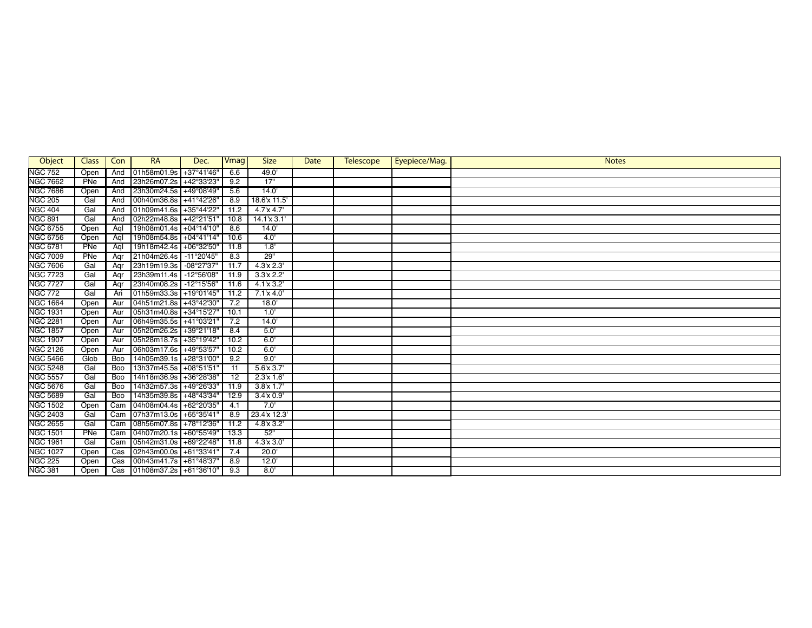| Object          | <b>Class</b> | Con | <b>RA</b>              | Dec.                 | Vmag            | <b>Size</b>        | <b>Date</b> | <b>Telescope</b> | Eyepiece/Mag. | <b>Notes</b> |
|-----------------|--------------|-----|------------------------|----------------------|-----------------|--------------------|-------------|------------------|---------------|--------------|
| <b>NGC 752</b>  | Open         | And | 01h58m01.9s            | +37°41'46"           | 6.6             | 49.0'              |             |                  |               |              |
| <b>NGC 7662</b> | PNe          | And | 23h26m07.2s            | +42°33'23"           | 9.2             | 17"                |             |                  |               |              |
| <b>NGC 7686</b> | Open         | And | 23h30m24.5s            | +49°08'49"           | 5.6             | 14.0'              |             |                  |               |              |
| <b>NGC 205</b>  | Gal          | And | 00h40m36.8s            | +41°42'26"           | 8.9             | 18.6'x 11.5'       |             |                  |               |              |
| <b>NGC 404</b>  | Gal          | And | 01h09m41.6s +35°44'22" |                      | 11.2            | 4.7'x 4.7'         |             |                  |               |              |
| <b>NGC 891</b>  | Gal          | And | 02h22m48.8s            | +42°21'51"           | 10.8            | $14.1 \times 3.1'$ |             |                  |               |              |
| <b>NGC 6755</b> | Open         | Agl | 19h08m01.4s            | +04°14'10"           | 8.6             | 14.0'              |             |                  |               |              |
| <b>NGC 6756</b> | Open         | Agl | 19h08m54.8s            | +04°41'14"           | 10.6            | 4.0                |             |                  |               |              |
| <b>NGC 6781</b> | PNe          | Aal | 19h18m42.4s            | +06°32'50"           | 11.8            | 1.8'               |             |                  |               |              |
| <b>NGC 7009</b> | PNe          | Agr | 21h04m26.4s            | $-11^{\circ}20'45''$ | 8.3             | 29"                |             |                  |               |              |
| <b>NGC 7606</b> | Gal          | Agr | 23h19m19.3s            | -08°27'37"           | 11.7            | 4.3x 2.3'          |             |                  |               |              |
| <b>NGC 7723</b> | Gal          | Agr | 23h39m11.4s            | $-12^{\circ}56'08''$ | 11.9            | 3.3'x 2.2'         |             |                  |               |              |
| <b>NGC 7727</b> | Gal          | Aqr | 23h40m08.2s            | $-12^{\circ}15'56''$ | 11.6            | $4.1 \times 3.2$   |             |                  |               |              |
| <b>NGC 772</b>  | Gal          | Ari | 01h59m33.3s            | +19°01'45"           | 11.2            | $7.1$ x $4.0$      |             |                  |               |              |
| <b>NGC 1664</b> | Open         | Aur | 04h51m21.8s            | +43°42'30"           | 7.2             | 18.0'              |             |                  |               |              |
| <b>NGC 1931</b> | Open         | Aur | 05h31m40.8s +34°15'27" |                      | 10.1            | 1.0                |             |                  |               |              |
| <b>NGC 2281</b> | Open         | Aur | 06h49m35.5s            | +41°03'21'           | 7.2             | 14.0'              |             |                  |               |              |
| <b>NGC 1857</b> | Open         | Aur | 05h20m26.2s            | +39°21'18"           | 8.4             | 5.0                |             |                  |               |              |
| <b>NGC 1907</b> | Open         | Aur | 05h28m18.7s            | +35°19'42"           | 10.2            | 6.0'               |             |                  |               |              |
| <b>NGC 2126</b> | Open         | Aur | 06h03m17.6s            | +49°53'57'           | 10.2            | 6.0'               |             |                  |               |              |
| <b>NGC 5466</b> | Glob         | Boo | 14h05m39.1s            | +28°31'00'           | 9.2             | 9.0'               |             |                  |               |              |
| <b>NGC 5248</b> | Gal          | Boo | 13h37m45.5s            | $+08°51'51'$         | 11              | $5.6$ x $3.7'$     |             |                  |               |              |
| <b>NGC 5557</b> | Gal          | Boo | 14h18m36.9s            | +36°28'38"           | $\overline{12}$ | 2.3'x 1.6'         |             |                  |               |              |
| <b>NGC 5676</b> | Gal          | Boo | 14h32m57.3s            | +49°26'33"           | 11.9            | 3.8'x 1.7'         |             |                  |               |              |
| <b>NGC 5689</b> | Gal          | Boo | 14h35m39.8s            | +48°43'34"           | 12.9            | 3.4x0.9'           |             |                  |               |              |
| <b>NGC 1502</b> | Open         | Cam | 04h08m04.4s            | +62°20'35"           | 4.1             | 7.0'               |             |                  |               |              |
| <b>NGC 2403</b> | Gal          | Cam | 07h37m13.0s +65°35'41' |                      | 8.9             | 23.4'x 12.3'       |             |                  |               |              |
| <b>NGC 2655</b> | Gal          | Cam | 08h56m07.8s +78°12'36" |                      | 11.2            | $4.8$ x $3.2'$     |             |                  |               |              |
| <b>NGC 1501</b> | PNe          | Cam | 04h07m20.1s            | +60°55'49"           | 13.3            | 52"                |             |                  |               |              |
| <b>NGC 1961</b> | Gal          | Cam | 05h42m31.0s            | +69°22'48"           | 11.8            | 4.3x3.0            |             |                  |               |              |
| <b>NGC 1027</b> | Open         | Cas | 02h43m00.0s            | +61°33'41            | 7.4             | 20.0'              |             |                  |               |              |
| <b>NGC 225</b>  | Open         | Cas | 00h43m41.7s            | +61°48'37'           | 8.9             | 12.0'              |             |                  |               |              |
| <b>NGC 381</b>  | Open         | Cas | 01h08m37.2s +61°36'10" |                      | 9.3             | 8.0                |             |                  |               |              |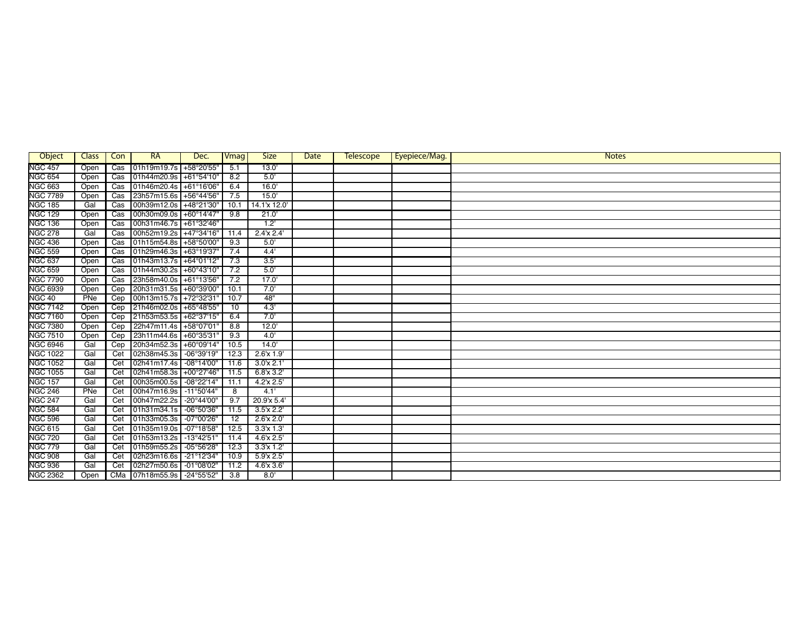| Object          | Class | Con                     | <b>RA</b>              | Dec.                 | Vmag | <b>Size</b>     | Date | <b>Telescope</b> | Eyepiece/Mag. | <b>Notes</b> |
|-----------------|-------|-------------------------|------------------------|----------------------|------|-----------------|------|------------------|---------------|--------------|
| <b>NGC 457</b>  | Open  | $\overline{\text{Cas}}$ | 01h19m19.7s            | +58°20'55"           | 5.1  | 13.0'           |      |                  |               |              |
| <b>NGC 654</b>  | Open  | $\overline{\text{Cas}}$ | 01h44m20.9s            | +61°54'10'           | 8.2  | 5.0             |      |                  |               |              |
| <b>NGC 663</b>  | Open  | Cas                     | 01h46m20.4s            | +61°16'06'           | 6.4  | 16.0'           |      |                  |               |              |
| <b>NGC 7789</b> | Open  | Cas                     | 23h57m15.6s +56°44'56" |                      | 7.5  | 15.0'           |      |                  |               |              |
| <b>NGC 185</b>  | Gal   | $\overline{\text{Cas}}$ | 00h39m12.0s            | +48°21'30'           | 10.1 | 14.1'x 12.0'    |      |                  |               |              |
| <b>NGC 129</b>  | Open  | Cas                     | 00h30m09.0s            | +60°14'47"           | 9.8  | 21.0'           |      |                  |               |              |
| <b>NGC 136</b>  | Open  | $\overline{\text{Cas}}$ | 00h31m46.7s +61°32'46" |                      |      | 1.2             |      |                  |               |              |
| <b>NGC 278</b>  | Gal   | Cas                     | 00h52m19.2s +47°34'16" |                      | 11.4 | 2.4'x 2.4'      |      |                  |               |              |
| <b>NGC 436</b>  | Open  | Cas                     | 01h15m54.8s +58°50'00' |                      | 9.3  | 5.0             |      |                  |               |              |
| <b>NGC 559</b>  | Open  | $\overline{\text{Cas}}$ | 01h29m46.3s +63°19'37' |                      | 7.4  | 4.4'            |      |                  |               |              |
| <b>NGC 637</b>  | Open  | $\overline{\text{Cas}}$ | 01h43m13.7s            | +64°01'12"           | 7.3  | 3.5'            |      |                  |               |              |
| <b>NGC 659</b>  | Open  | Cas                     | 01h44m30.2s +60°43'10' |                      | 7.2  | 5.0'            |      |                  |               |              |
| <b>NGC 7790</b> | Open  | Cas                     | 23h58m40.0s            | +61°13'56'           | 7.2  | 17.0'           |      |                  |               |              |
| <b>NGC 6939</b> | Open  | Cep                     | 20h31m31.5s +60°39'00' |                      | 10.1 | 7.0'            |      |                  |               |              |
| <b>NGC 40</b>   | PNe   | Cep                     | 00h13m15.7s +72°32'31' |                      | 10.7 | 48"             |      |                  |               |              |
| <b>NGC 7142</b> | Open  | Cep                     | 21h46m02.0s +65°48'55" |                      | 10   | 4.3'            |      |                  |               |              |
| <b>NGC 7160</b> | Open  | Cep                     | 21h53m53.5s +62°37'15" |                      | 6.4  | 7.0'            |      |                  |               |              |
| <b>NGC 7380</b> | Open  | Cep                     | 22h47m11.4s            | +58°07'01'           | 8.8  | 12.0'           |      |                  |               |              |
| <b>NGC 7510</b> | Open  | Cep                     | 23h11m44.6s            | +60°35'31'           | 9.3  | 4.0'            |      |                  |               |              |
| <b>NGC 6946</b> | Gal   | Cep                     | 20h34m52.3s            | +60°09'14"           | 10.5 | 14.0'           |      |                  |               |              |
| <b>NGC 1022</b> | Gal   | Cet                     | 02h38m45.3s            | -06°39'19"           | 12.3 | $2.6$ x $1.9'$  |      |                  |               |              |
| <b>NGC 1052</b> | Gal   | Cet                     | 02h41m17.4s            | $-08^{\circ}14'00''$ | 11.6 | 3.0x 2.1        |      |                  |               |              |
| <b>NGC 1055</b> | Gal   | Cet                     | 02h41m58.3s            | +00°27'46"           | 11.5 | $6.8$ x $3.2'$  |      |                  |               |              |
| <b>NGC 157</b>  | Gal   | Cet                     | 00h35m00.5s            | $-08°22'14"$         | 11.1 | 4.2'x 2.5'      |      |                  |               |              |
| <b>NGC 246</b>  | PNe   | Cet                     | 00h47m16.9s            | $-11^{\circ}50'44"$  | 8    | 4.1'            |      |                  |               |              |
| <b>NGC 247</b>  | Gal   | Cet                     | 00h47m22.2s            | -20°44'00"           | 9.7  | 20.9'x 5.4'     |      |                  |               |              |
| <b>NGC 584</b>  | Gal   | Cet                     | 01h31m34.1s            | -06°50'36"           | 11.5 | 3.5'x 2.2'      |      |                  |               |              |
| <b>NGC 596</b>  | Gal   | Cet                     | 01h33m05.3s            | -07°00'26"           | 12   | $2.6$ x $2.0$   |      |                  |               |              |
| <b>NGC 615</b>  | Gal   | Cet                     | 01h35m19.0s            | $-07^{\circ}18'58''$ | 12.5 | $3.3'x$ $1.3'$  |      |                  |               |              |
| <b>NGC 720</b>  | Gal   | Cet                     | 01h53m13.2s            | $-13°42'51"$         | 11.4 | $4.6$ x $2.5$   |      |                  |               |              |
| <b>NGC 779</b>  | Gal   | Cet                     | 01h59m55.2s            | $-05^{\circ}56'28''$ | 12.3 | $3.3'x$ $1.2'$  |      |                  |               |              |
| <b>NGC 908</b>  | Gal   | Cet                     | 02h23m16.6s            | $-21^{\circ}12'34''$ | 10.9 | 5.9x 2.5'       |      |                  |               |              |
| <b>NGC 936</b>  | Gal   | Cet                     | 02h27m50.6s            | $-01^{\circ}08'02"$  | 11.2 | $4.6'$ x $3.6'$ |      |                  |               |              |
| <b>NGC 2362</b> | Open  | CMa                     | 07h18m55.9s -24°55'52" |                      | 3.8  | 8.0             |      |                  |               |              |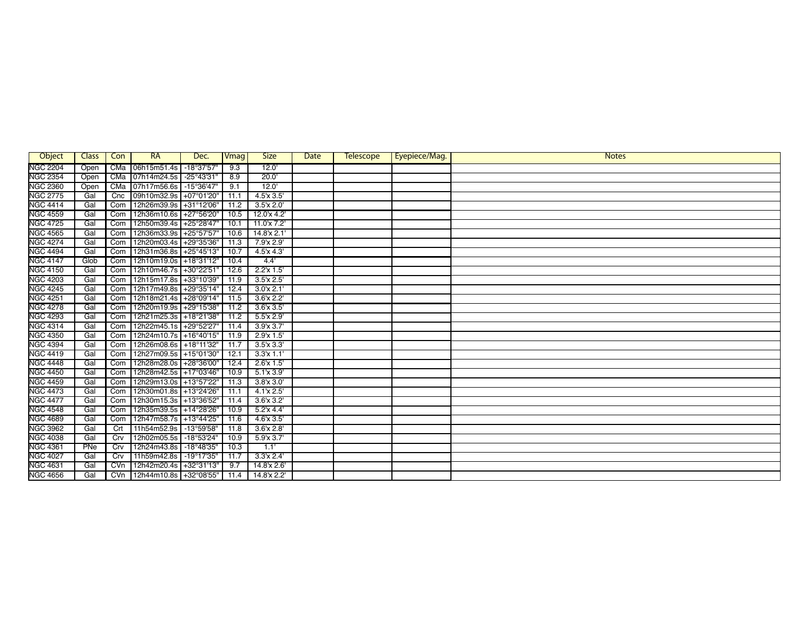| Object          | Class | Con              | <b>RA</b>                | Dec.                 | Vmag | <b>Size</b>                         | Date | <b>Telescope</b> | Eyepiece/Mag. | <b>Notes</b> |
|-----------------|-------|------------------|--------------------------|----------------------|------|-------------------------------------|------|------------------|---------------|--------------|
| <b>NGC 2204</b> | Open  | CMa              | 06h15m51.4s              | $-18°37'57"$         | 9.3  | 12.0'                               |      |                  |               |              |
| <b>NGC 2354</b> | Open  | CMa              | 07h14m24.5s              | -25°43'31"           | 8.9  | 20.0                                |      |                  |               |              |
| <b>NGC 2360</b> | Open  | CMa              | 07h17m56.6s              | $-15^{\circ}36'47''$ | 9.1  | 12.0'                               |      |                  |               |              |
| <b>NGC 2775</b> | Gal   | Cnc              | 09h10m32.9s              | +07°01'20"           | 11.1 | $4.5'$ x $3.5'$                     |      |                  |               |              |
| <b>NGC 4414</b> | Gal   | Com              | 12h26m39.9s              | +31°12'06"           | 11.2 | $3.5'$ x $2.0'$                     |      |                  |               |              |
| <b>NGC 4559</b> | Gal   | Com              | 12h36m10.6s +27°56'20"   |                      | 10.5 | 12.0'x 4.2'                         |      |                  |               |              |
| <b>NGC 4725</b> | Gal   | Com              | 12h50m39.4s              | +25°28'47'           | 10.1 | 11.0'x 7.2'                         |      |                  |               |              |
| <b>NGC 4565</b> | Gal   | Com              | 12h36m33.9s              | +25°57'57'           | 10.6 | 14.8'x 2.1                          |      |                  |               |              |
| <b>NGC 4274</b> | Gal   | Com              | 12h20m03.4s              | +29°35'36"           | 11.3 | 7.9'x 2.9'                          |      |                  |               |              |
| <b>NGC 4494</b> | Gal   | Com              | 12h31m36.8s              | $+25^{\circ}45'13''$ | 10.7 | $4.\overline{5}$ x $4.\overline{3}$ |      |                  |               |              |
| <b>NGC 4147</b> | Glob  | Com              | 12h10m19.0s +18°31'12"   |                      | 10.4 | 4.4'                                |      |                  |               |              |
| <b>NGC 4150</b> | Gal   | Com              | 12h10m46.7s              | +30°22'51'           | 12.6 | 2.2'x 1.5'                          |      |                  |               |              |
| <b>NGC 4203</b> | Gal   | Com              | 12h15m17.8s              | +33°10'39'           | 11.9 | 3.5'x 2.5'                          |      |                  |               |              |
| <b>NGC 4245</b> | Gal   | Com              | 12h17m49.8s              | +29°35'14"           | 12.4 | 3.0x 2.1'                           |      |                  |               |              |
| <b>NGC 4251</b> | Gal   | Com              | 12h18m21.4s              | +28°09'14"           | 11.5 | $3.6'$ x $2.2'$                     |      |                  |               |              |
| <b>NGC 4278</b> | Gal   | Com              | 12h20m19.9s +29°15'38"   |                      | 11.2 | $3.6'$ x $3.5'$                     |      |                  |               |              |
| <b>NGC 4293</b> | Gal   | Com              | 12h21m25.3s +18°21'38"   |                      | 11.2 | $5.5'$ x 2.9'                       |      |                  |               |              |
| <b>NGC 4314</b> | Gal   | Com              | 12h22m45.1s +29°52'27"   |                      | 11.4 | 3.9x3.7'                            |      |                  |               |              |
| <b>NGC 4350</b> | Gal   | Com              | 12h24m10.7s +16°40'15"   |                      | 11.9 | 2.9'x 1.5'                          |      |                  |               |              |
| <b>NGC 4394</b> | Gal   | Com              | 12h26m08.6s +18°11'32"   |                      | 11.7 | $3.5'$ x $3.3'$                     |      |                  |               |              |
| <b>NGC 4419</b> | Gal   | Com              | 12h27m09.5s +15°01'30"   |                      | 12.1 | 3.3'x 1.1'                          |      |                  |               |              |
| <b>NGC 4448</b> | Gal   | Com              | 12h28m28.0s              | +28°36'00"           | 12.4 | $2.6$ x $1.5$                       |      |                  |               |              |
| <b>NGC 4450</b> | Gal   | Com              | 12h28m42.5s +17°03'46"   |                      | 10.9 | $5.1$ x $3.9'$                      |      |                  |               |              |
| <b>NGC 4459</b> | Gal   | Com              | 12h29m13.0s +13°57'22"   |                      | 11.3 | 3.8x3.0'                            |      |                  |               |              |
| <b>NGC 4473</b> | Gal   | Com              | 12h30m01.8s +13°24'26"   |                      | 11.1 | $4.1$ x $2.5$                       |      |                  |               |              |
| <b>NGC 4477</b> | Gal   | Com              | 12h30m15.3s   +13°36'52" |                      | 11.4 | $3.6'$ x $3.2'$                     |      |                  |               |              |
| <b>NGC 4548</b> | Gal   | Com              | 12h35m39.5s +14°28'26"   |                      | 10.9 | 5.2'x 4.4'                          |      |                  |               |              |
| <b>NGC 4689</b> | Gal   | Com              | 12h47m58.7s +13°44'25"   |                      | 11.6 | $4.6'$ x $3.5'$                     |      |                  |               |              |
| <b>NGC 3962</b> | Gal   | $\overline{Crt}$ | 11h54m52.9s              | $-13°59'58"$         | 11.8 | 3.6'x 2.8'                          |      |                  |               |              |
| <b>NGC 4038</b> | Gal   | Crv              | 12h02m05.5s              | $-18°53'24"$         | 10.9 | 5.9x3.7                             |      |                  |               |              |
| <b>NGC 4361</b> | PNe   | Crv              | 12h24m43.8s              | $-18^{\circ}48'35"$  | 10.3 | 1.1'                                |      |                  |               |              |
| <b>NGC 4027</b> | Gal   | Crv              | 11h59m42.8s              | -19°17'35"           | 11.7 | 3.3'x 2.4'                          |      |                  |               |              |
| <b>NGC 4631</b> | Gal   | CVn              | 12h42m20.4s              | +32°31'13"           | 9.7  | 14.8'x 2.6'                         |      |                  |               |              |
| <b>NGC 4656</b> | Gal   | CVM              | 12h44m10.8s +32°08'55"   |                      | 11.4 | 14.8'x 2.2'                         |      |                  |               |              |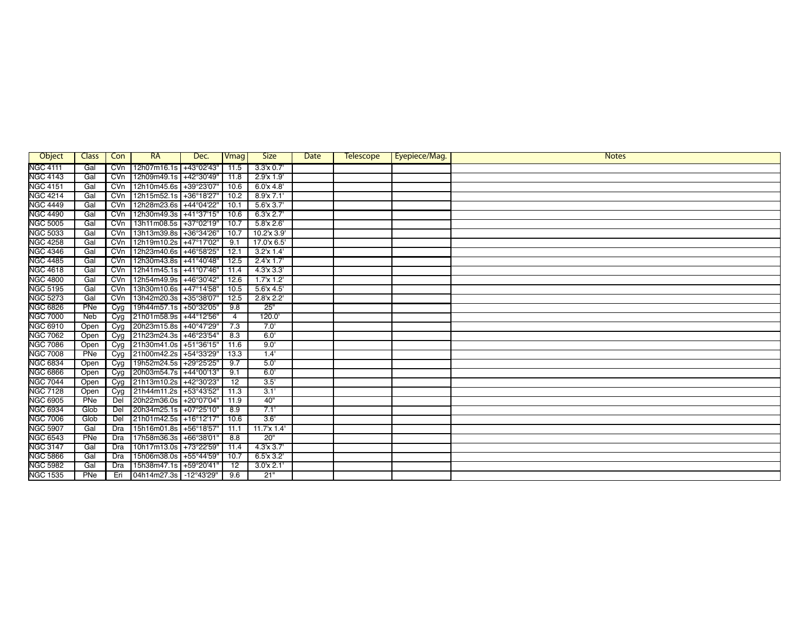| Object          | Class | Con              | <b>RA</b>              | Dec.         | Vmag            | <b>Size</b>     | Date | <b>Telescope</b> | Eyepiece/Mag. | <b>Notes</b> |
|-----------------|-------|------------------|------------------------|--------------|-----------------|-----------------|------|------------------|---------------|--------------|
| <b>NGC 4111</b> | Gal   | CVn              | 12h07m16.1s            | +43°02'43"   | 11.5            | 3.3x 0.7'       |      |                  |               |              |
| <b>NGC 4143</b> | Gal   | CVn              | 12h09m49.1s            | +42°30'49'   | 11.8            | 2.9'x 1.9'      |      |                  |               |              |
| <b>NGC 4151</b> | Gal   | CVn              | 12h10m45.6s            | +39°23'07'   | 10.6            | 6.0x 4.8        |      |                  |               |              |
| <b>NGC 4214</b> | Gal   | CVn              | 12h15m52.1s            | +36°18'27'   | 10.2            | 8.9'x 7.1'      |      |                  |               |              |
| <b>NGC 4449</b> | Gal   | CVn              | 12h28m23.6s            | +44°04'22"   | 10.1            | $5.6$ x $3.7'$  |      |                  |               |              |
| <b>NGC 4490</b> | Gal   | CVM              | 12h30m49.3s            | $+41°37'15"$ | 10.6            | 6.3'x 2.7'      |      |                  |               |              |
| <b>NGC 5005</b> | Gal   | CVn              | 13h11m08.5s            | +37°02'19"   | 10.7            | $5.8$ x $2.6'$  |      |                  |               |              |
| <b>NGC 5033</b> | Gal   | CVn              | 13h13m39.8s            | +36°34'26"   | 10.7            | 10.2'x 3.9'     |      |                  |               |              |
| <b>NGC 4258</b> | Gal   | CVM              | 12h19m10.2s            | +47°17'02"   | 9.1             | 17.0'x 6.5'     |      |                  |               |              |
| <b>NGC 4346</b> | Gal   | CVM              | 12h23m40.6s            | +46°58'25'   | 12.1            | $3.2'x$ 1.4     |      |                  |               |              |
| <b>NGC 4485</b> | Gal   | CVM              | 12h30m43.8s            | +41°40'48"   | 12.5            | $2.4'x$ 1.7'    |      |                  |               |              |
| <b>NGC 4618</b> | Gal   | CVn              | 12h41m45.1s            | +41°07'46"   | 11.4            | 4.3x3.3'        |      |                  |               |              |
| <b>NGC 4800</b> | Gal   | CVn              | 12h54m49.9s            | +46°30'42"   | 12.6            | 1.7x1.2         |      |                  |               |              |
| <b>NGC 5195</b> | Gal   | CVn              | 13h30m10.6s            | +47°14'58"   | 10.5            | $5.6$ x 4.5'    |      |                  |               |              |
| <b>NGC 5273</b> | Gal   | CVM              | 13h42m20.3s +35°38'07' |              | 12.5            | 2.8'x 2.2'      |      |                  |               |              |
| <b>NGC 6826</b> | PNe   | Cyg              | 19h44m57.1s +50°32'05' |              | 9.8             | 25"             |      |                  |               |              |
| <b>NGC 7000</b> | Neb   | Cyg              | 21h01m58.9s            | +44°12'56'   | $\overline{4}$  | 120.0           |      |                  |               |              |
| <b>NGC 6910</b> | Open  | Cyq              | 20h23m15.8s            | +40°47'29'   | 7.3             | 7.0'            |      |                  |               |              |
| <b>NGC 7062</b> | Open  | C <sub>Y</sub> g | 21h23m24.3s            | +46°23'54'   | 8.3             | 6.0'            |      |                  |               |              |
| <b>NGC 7086</b> | Open  | Cyg              | 21h30m41.0s            | +51°36'15'   | 11.6            | 9.0'            |      |                  |               |              |
| <b>NGC 7008</b> | PNe   | Cyg              | 21h00m42.2s            | +54°33'29'   | 13.3            | 1.4'            |      |                  |               |              |
| <b>NGC 6834</b> | Open  | Cyg              | 19h52m24.5s            | +29°25'25"   | 9.7             | 5.0             |      |                  |               |              |
| <b>NGC 6866</b> | Open  | Cyg              | 20h03m54.7s            | +44°00'13"   | 9.1             | 6.0             |      |                  |               |              |
| <b>NGC 7044</b> | Open  | Cyg              | 21h13m10.2s +42°30'23' |              | $\overline{12}$ | 3.5'            |      |                  |               |              |
| <b>NGC 7128</b> | Open  | Cyg              | 21h44m11.2s +53°43'52" |              | 11.3            | 3.1'            |      |                  |               |              |
| <b>NGC 6905</b> | PNe   | Del              | 20h22m36.0s            | +20°07'04"   | 11.9            | 40"             |      |                  |               |              |
| <b>NGC 6934</b> | Glob  | Del              | 20h34m25.1s            | +07°25'10"   | 8.9             | 7.1'            |      |                  |               |              |
| <b>NGC 7006</b> | Glob  | Del              | 21h01m42.5s            | +16°12'17'   | 10.6            | 3.6'            |      |                  |               |              |
| <b>NGC 5907</b> | Gal   | Dra              | 15h16m01.8s            | +56°18'57'   | 11.1            | $11.7$ x $1.4$  |      |                  |               |              |
| <b>NGC 6543</b> | PNe   | Dra              | 17h58m36.3s            | $+66°38'01'$ | 8.8             | 20"             |      |                  |               |              |
| <b>NGC 3147</b> | Gal   | Dra              | 10h17m13.0s            | +73°22'59'   | 11.4            | 4.3'x3.7'       |      |                  |               |              |
| <b>NGC 5866</b> | Gal   | Dra              | 15h06m38.0s            | +55°44'59"   | 10.7            | $6.5'$ x $3.2'$ |      |                  |               |              |
| <b>NGC 5982</b> | Gal   | <b>Dra</b>       | 15h38m47.1s            | +59°20'41'   | 12              | 3.0x 2.1'       |      |                  |               |              |
| <b>NGC 1535</b> | PNe   | Eri              | 04h14m27.3s -12°43'29" |              | 9.6             | 21"             |      |                  |               |              |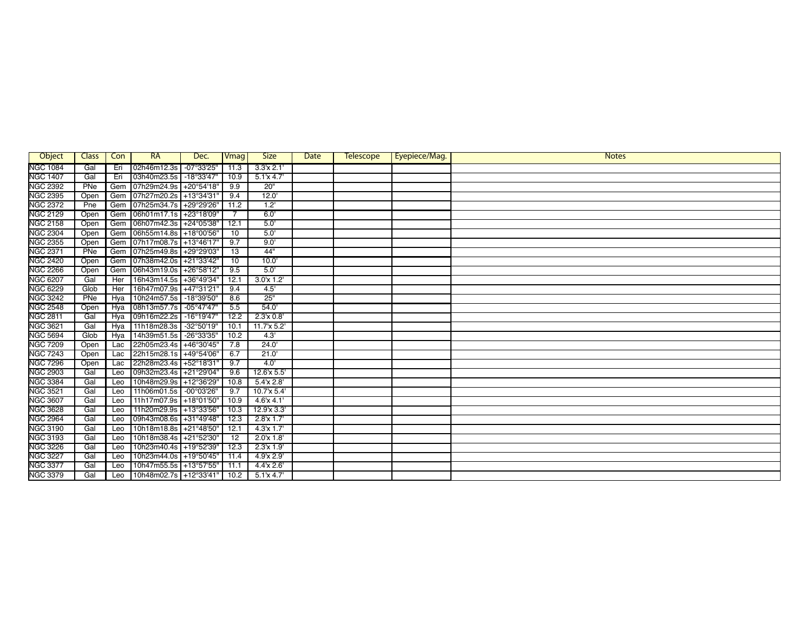| Object          | Class | Con        | RA                     | Dec.                 | <b>Vmag</b>     | <b>Size</b>    | Date | <b>Telescope</b> | Eyepiece/Mag. | <b>Notes</b> |
|-----------------|-------|------------|------------------------|----------------------|-----------------|----------------|------|------------------|---------------|--------------|
| <b>NGC 1084</b> | Gal   | Eri        | 02h46m12.3s            | $-07^{\circ}33'25''$ | 11.3            | 3.3'x 2.1'     |      |                  |               |              |
| <b>NGC 1407</b> | Gal   | Eri        | 03h40m23.5s            | $-18°33'47'$         | 10.9            | $5.1$ x 4.7    |      |                  |               |              |
| <b>NGC 2392</b> | PNe   | Gem        | 07h29m24.9s            | +20°54'18'           | 9.9             | 20"            |      |                  |               |              |
| <b>NGC 2395</b> | Open  | Gem        | 07h27m20.2s +13°34'31' |                      | 9.4             | 12.0'          |      |                  |               |              |
| <b>NGC 2372</b> | Pne   | Gem        | 07h25m34.7s +29°29'26" |                      | 11.2            | 1.2            |      |                  |               |              |
| <b>NGC 2129</b> | Open  | Gem        | 06h01m17.1s +23°18'09" |                      |                 | 6.0'           |      |                  |               |              |
| <b>NGC 2158</b> | Open  | Gem        | 06h07m42.3s +24°05'38" |                      | 12.1            | 5.0            |      |                  |               |              |
| <b>NGC 2304</b> | Open  | Gem        | 06h55m14.8s +18°00'56" |                      | 10              | 5.0            |      |                  |               |              |
| <b>NGC 2355</b> | Open  | Gem        | 07h17m08.7s +13°46'17" |                      | 9.7             | 9.0'           |      |                  |               |              |
| <b>NGC 2371</b> | PNe   | Gem        | 07h25m49.8s +29°29'03" |                      | $\overline{13}$ | 44"            |      |                  |               |              |
| <b>NGC 2420</b> | Open  | Gem        | 07h38m42.0s +21°33'42" |                      | 10              | 10.0           |      |                  |               |              |
| <b>NGC 2266</b> | Open  | Gem        | 06h43m19.0s            | +26°58'12'           | 9.5             | 5.0            |      |                  |               |              |
| <b>NGC 6207</b> | Gal   | Her        | 16h43m14.5s            | +36°49'34'           | 12.1            | 3.0x11.2'      |      |                  |               |              |
| <b>NGC 6229</b> | Glob  | <b>Her</b> | 16h47m07.9s            | +47°31'21'           | 9.4             | 4.5'           |      |                  |               |              |
| <b>NGC 3242</b> | PNe   | Hya        | 10h24m57.5s            | $-18^{\circ}39'50''$ | 8.6             | 25"            |      |                  |               |              |
| <b>NGC 2548</b> | Open  | Hya        | 08h13m57.7s            | $-05^{\circ}47'47''$ | 5.5             | 54.0'          |      |                  |               |              |
| <b>NGC 2811</b> | Gal   | <b>Hya</b> | 09h16m22.2s            | $-16^{\circ}19'47''$ | 12.2            | 2.3'x 0.8'     |      |                  |               |              |
| <b>NGC 3621</b> | Gal   | Hya        | 11h18m28.3s            | -32°50'19"           | 10.1            | 11.7'x 5.2'    |      |                  |               |              |
| <b>NGC 5694</b> | Glob  | Hya        | 14h39m51.5s            | -26°33'35"           | 10.2            | 4.3'           |      |                  |               |              |
| <b>NGC 7209</b> | Open  | Lac        | 22h05m23.4s +46°30'45" |                      | 7.8             | 24.0'          |      |                  |               |              |
| <b>NGC 7243</b> | Open  | Lac        | 22h15m28.1s            | +49°54'06'           | 6.7             | 21.0           |      |                  |               |              |
| <b>NGC 7296</b> | Open  | Lac        | 22h28m23.4s +52°18'31' |                      | 9.7             | 4.0            |      |                  |               |              |
| <b>NGC 2903</b> | Gal   | Leo        | 09h32m23.4s            | $+21^{\circ}29'04'$  | 9.6             | 12.6'x 5.5'    |      |                  |               |              |
| <b>NGC 3384</b> | Gal   | Leo        | 10h48m29.9s +12°36'29' |                      | 10.8            | 5.4'x 2.8'     |      |                  |               |              |
| <b>NGC 3521</b> | Gal   | Leo        | 11h06m01.5s            | -00°03'26"           | 9.7             | 10.7'x 5.4'    |      |                  |               |              |
| <b>NGC 3607</b> | Gal   | Leo        | 11h17m07.9s +18°01'50' |                      | 10.9            | $4.6$ x $4.1'$ |      |                  |               |              |
| <b>NGC 3628</b> | Gal   | Leo        | 11h20m29.9s +13°33'56" |                      | 10.3            | 12.9'x 3.3'    |      |                  |               |              |
| <b>NGC 2964</b> | Gal   | Leo        | 09h43m08.6s +31°49'48" |                      | 12.3            | $2.8'x$ 1.7'   |      |                  |               |              |
| <b>NGC 3190</b> | Gal   | Leo        | 10h18m18.8s +21°48'50" |                      | 12.1            | $4.3'x$ 1.7'   |      |                  |               |              |
| <b>NGC 3193</b> | Gal   | Leo        | 10h18m38.4s +21°52'30' |                      | $\overline{12}$ | 2.0x1.8        |      |                  |               |              |
| <b>NGC 3226</b> | Gal   | Leo        | 10h23m40.4s            | +19°52'39'           | 12.3            | $2.3'x$ 1.9'   |      |                  |               |              |
| <b>NGC 3227</b> | Gal   | Leo        | 10h23m44.0s            | +19°50'45"           | 11.4            | 4.9'x 2.9'     |      |                  |               |              |
| <b>NGC 3377</b> | Gal   | Leo        | 10h47m55.5s +13°57'55" |                      | 11.1            | 4.4x2.6'       |      |                  |               |              |
| <b>NGC 3379</b> | Gal   | Leo        | 10h48m02.7s +12°33'41" |                      | 10.2            | $5.1$ x 4.7    |      |                  |               |              |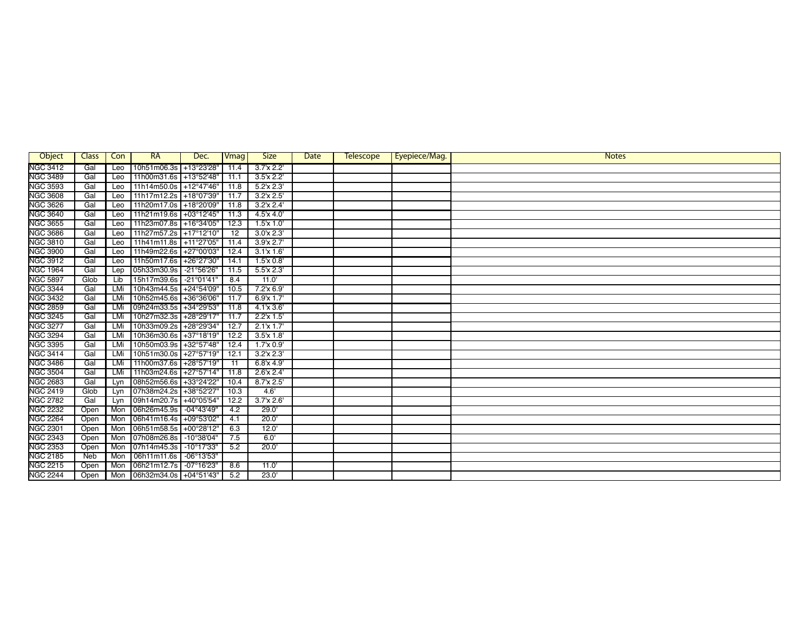| Object          | <b>Class</b> | Con        | RA                     | Dec.                 | Vmag | <b>Size</b>      | Date | <b>Telescope</b> | Eyepiece/Mag. | <b>Notes</b> |
|-----------------|--------------|------------|------------------------|----------------------|------|------------------|------|------------------|---------------|--------------|
| <b>NGC 3412</b> | Gal          | Leo        | 10h51m06.3s            | +13°23'28"           | 11.4 | $3.7x$ $2.2'$    |      |                  |               |              |
| <b>NGC 3489</b> | Gal          | Leo        | 11h00m31.6s +13°52'48" |                      | 11.1 | $3.5'$ x 2.2     |      |                  |               |              |
| <b>NGC 3593</b> | Gal          | Leo        | 11h14m50.0s            | +12°47'46"           | 11.8 | $5.2$ x $2.3'$   |      |                  |               |              |
| <b>NGC 3608</b> | Gal          | Leo        | 11h17m12.2s            | +18°07'39"           | 11.7 | 3.2'x 2.5'       |      |                  |               |              |
| <b>NGC 3626</b> | Gal          | Leo        | 11h20m17.0s +18°20'09" |                      | 11.8 | 3.2x 2.4'        |      |                  |               |              |
| <b>NGC 3640</b> | Gal          | Leo        | 11h21m19.6s +03°12'45" |                      | 11.3 | $4.5'$ x $4.0'$  |      |                  |               |              |
| <b>NGC 3655</b> | Gal          | Leo        | 11h23m07.8s +16°34'05" |                      | 12.3 | $1.5'$ x $1.0'$  |      |                  |               |              |
| <b>NGC 3686</b> | Gal          | Leo        | 11h27m57.2s +17°12'10' |                      | 12   | 3.0x 2.3'        |      |                  |               |              |
| <b>NGC 3810</b> | Gal          | Leo        | 11h41m11.8s            | +11°27'05"           | 11.4 | 3.9x 2.7'        |      |                  |               |              |
| <b>NGC 3900</b> | Gal          | Leo        | 11h49m22.6s            | +27°00'03"           | 12.4 | 3.1'x 1.6'       |      |                  |               |              |
| <b>NGC 3912</b> | Gal          | Leo        | 11h50m17.6s            | +26°27'30"           | 14.1 | 1.5x 0.8         |      |                  |               |              |
| <b>NGC 1964</b> | Gal          | Lep        | 05h33m30.9s            | -21°56'26"           | 11.5 | 5.5x 2.3'        |      |                  |               |              |
| <b>NGC 5897</b> | Glob         | Lib        | 15h17m39.6s            | $-21^{\circ}01'41''$ | 8.4  | 11.0'            |      |                  |               |              |
| <b>NGC 3344</b> | Gal          | <b>LMi</b> | 10h43m44.5s            | +24°54'09"           | 10.5 | $7.2$ 'x 6.9'    |      |                  |               |              |
| <b>NGC 3432</b> | Gal          | LMi        | 10h52m45.6s            | +36°36'06"           | 11.7 | $6.9'x$ 1.7'     |      |                  |               |              |
| <b>NGC 2859</b> | Gal          | LMi        | 09h24m33.5s +34°29'53" |                      | 11.8 | $4.1 \times 3.6$ |      |                  |               |              |
| <b>NGC 3245</b> | Gal          | LMi        | 10h27m32.3s            | +28°29'17"           | 11.7 | 2.2'x 1.5'       |      |                  |               |              |
| <b>NGC 3277</b> | Gal          | LMi        | 10h33m09.2s            | +28°29'34"           | 12.7 | 2.1x1.7          |      |                  |               |              |
| <b>NGC 3294</b> | Gal          | LMi        | 10h36m30.6s            | +37°18'19"           | 12.2 | 3.5'x 1.8'       |      |                  |               |              |
| <b>NGC 3395</b> | Gal          | LMi        | 10h50m03.9s            | +32°57'48"           | 12.4 | 1.7x0.9'         |      |                  |               |              |
| <b>NGC 3414</b> | Gal          | LMi        | 10h51m30.0s            | +27°57'19"           | 12.1 | 3.2'x 2.3'       |      |                  |               |              |
| <b>NGC 3486</b> | Gal          | LMi        | 11h00m37.6s            | +28°57'19"           | 11   | 6.8'x 4.9'       |      |                  |               |              |
| <b>NGC 3504</b> | Gal          | LMi        | 11h03m24.6s            | $+27°57'14"$         | 11.8 | $2.6'$ x 2.4'    |      |                  |               |              |
| <b>NGC 2683</b> | Gal          | Lyn        | 08h52m56.6s            | +33°24'22"           | 10.4 | 8.7'x 2.5'       |      |                  |               |              |
| <b>NGC 2419</b> | Glob         | Lyn        | 07h38m24.2s            | +38°52'27"           | 10.3 | 4.6'             |      |                  |               |              |
| <b>NGC 2782</b> | Gal          | Lyn        | 09h14m20.7s            | +40°05'54"           | 12.2 | 3.7x 2.6'        |      |                  |               |              |
| <b>NGC 2232</b> | Open         | Mon        | 06h26m45.9s            | $-04^{\circ}43'49''$ | 4.2  | 29.0'            |      |                  |               |              |
| <b>NGC 2264</b> | Open         | Mon        | 06h41m16.4s            | +09°53'02"           | 4.1  | 20.0'            |      |                  |               |              |
| <b>NGC 2301</b> | Open         | Mon        | 06h51m58.5s            | +00°28'12"           | 6.3  | 12.0'            |      |                  |               |              |
| <b>NGC 2343</b> | Open         | Mon        | 07h08m26.8s            | $-10^{\circ}38'04"$  | 7.5  | 6.0'             |      |                  |               |              |
| <b>NGC 2353</b> | Open         | Mon        | 07h14m45.3s            | $-10°17'33"$         | 5.2  | 20.0'            |      |                  |               |              |
| <b>NGC 2185</b> | Neb          | Mon        | 06h11m11.6s            | -06°13'53"           |      |                  |      |                  |               |              |
| <b>NGC 2215</b> | Open         | Mon        | 06h21m12.7s            | -07°16'23"           | 8.6  | 11.0'            |      |                  |               |              |
| <b>NGC 2244</b> | Open         | Mon        | 06h32m34.0s +04°51'43" |                      | 5.2  | 23.0'            |      |                  |               |              |
|                 |              |            |                        |                      |      |                  |      |                  |               |              |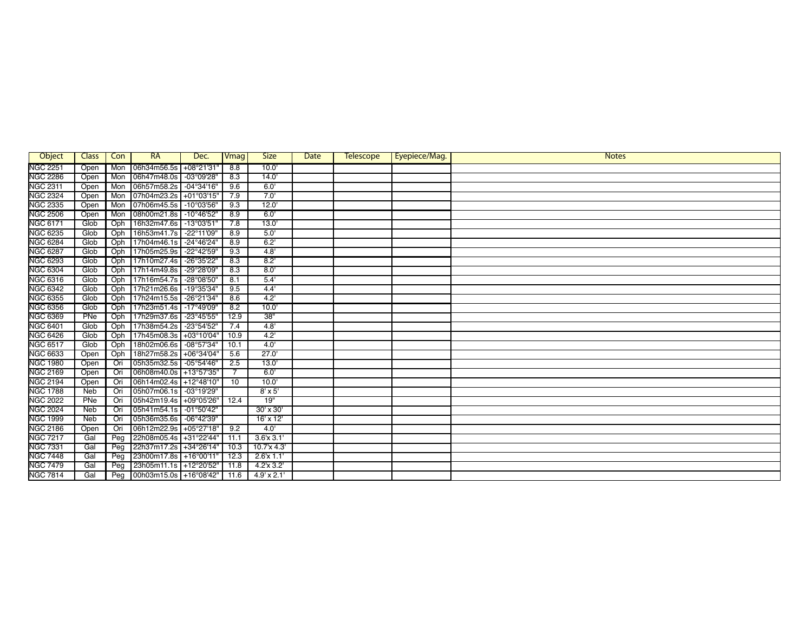| Object          | <b>Class</b> | Con | <b>RA</b>              | Dec.                 | Vmag | <b>Size</b>        | Date | <b>Telescope</b> | Eyepiece/Mag. | <b>Notes</b> |
|-----------------|--------------|-----|------------------------|----------------------|------|--------------------|------|------------------|---------------|--------------|
| <b>NGC 2251</b> | Open         | Mon | 06h34m56.5s            | $+08°21'31$          | 8.8  | 10.0               |      |                  |               |              |
| <b>NGC 2286</b> | Open         | Mon | 06h47m48.0s            | -03°09'28"           | 8.3  | 14.0               |      |                  |               |              |
| <b>NGC 2311</b> | Open         | Mon | 06h57m58.2s            | $-04^{\circ}34'16''$ | 9.6  | 6.0'               |      |                  |               |              |
| <b>NGC 2324</b> | Open         | Mon | 07h04m23.2s            | $+01^{\circ}03'15'$  | 7.9  | 7.0'               |      |                  |               |              |
| <b>NGC 2335</b> | Open         | Mon | 07h06m45.5s            | $-10^{\circ}03'56"$  | 9.3  | 12.0'              |      |                  |               |              |
| <b>NGC 2506</b> | Open         | Mon | 08h00m21.8s            | -10°46'52"           | 8.9  | 6.0'               |      |                  |               |              |
| <b>NGC 6171</b> | Glob         | Oph | 16h32m47.6s            | $-13^{\circ}03'51'$  | 7.8  | 13.0'              |      |                  |               |              |
| <b>NGC 6235</b> | Glob         | Oph | 16h53m41.7s            | -22°11'09"           | 8.9  | 5.0                |      |                  |               |              |
| <b>NGC 6284</b> | Glob         | Oph | 17h04m46.1s            | $-24^{\circ}46'24''$ | 8.9  | 6.2                |      |                  |               |              |
| <b>NGC 6287</b> | Glob         | Oph | 17h05m25.9s            | -22°42'59"           | 9.3  | 4.8'               |      |                  |               |              |
| <b>NGC 6293</b> | Glob         | Oph | 17h10m27.4s            | -26°35'22"           | 8.3  | 8.2'               |      |                  |               |              |
| <b>NGC 6304</b> | Glob         | Oph | 17h14m49.8s            | -29°28'09'           | 8.3  | 8.0                |      |                  |               |              |
| <b>NGC 6316</b> | Glob         | Oph | 17h16m54.7s            | $-28^{\circ}08'50'$  | 8.1  | 5.4'               |      |                  |               |              |
| <b>NGC 6342</b> | Glob         | Oph | 17h21m26.6s            | $-19^{\circ}35'34"$  | 9.5  | 4.4'               |      |                  |               |              |
| <b>NGC 6355</b> | Glob         | Oph | 17h24m15.5s            | -26°21'34"           | 8.6  | 4.2                |      |                  |               |              |
| <b>NGC 6356</b> | Glob         | Oph | 17h23m51.4s            | $-17^{\circ}49'09'$  | 8.2  | 10.0               |      |                  |               |              |
| <b>NGC 6369</b> | PNe          | Oph | 17h29m37.6s            | -23°45'55"           | 12.9 | 38"                |      |                  |               |              |
| <b>NGC 6401</b> | Glob         | Oph | 17h38m54.2s            | -23°54'52"           | 7.4  | 4.8'               |      |                  |               |              |
| <b>NGC 6426</b> | Glob         | Oph | 17h45m08.3s            | +03°10'04"           | 10.9 | 4.2                |      |                  |               |              |
| <b>NGC 6517</b> | Glob         | Oph | 18h02m06.6s            | -08°57'34"           | 10.1 | 4.0'               |      |                  |               |              |
| <b>NGC 6633</b> | Open         | Oph | 18h27m58.2s            | $+06°34'04'$         | 5.6  | 27.0'              |      |                  |               |              |
| <b>NGC 1980</b> | Open         | Ori | 05h35m32.5s            | $-05^{\circ}54'46''$ | 2.5  | 13.0'              |      |                  |               |              |
| <b>NGC 2169</b> | Open         | Ori | 06h08m40.0s            | +13°57'35"           |      | 6.0'               |      |                  |               |              |
| <b>NGC 2194</b> | Open         | Ori | 06h14m02.4s            | +12°48'10"           | 10   | 10.0               |      |                  |               |              |
| <b>NGC 1788</b> | Neb          | Ori | 05h07m06.1s            | -03°19'29"           |      | $8' \times 5'$     |      |                  |               |              |
| <b>NGC 2022</b> | PNe          | Ori | 05h42m19.4s            | +09°05'26"           | 12.4 | 19"                |      |                  |               |              |
| <b>NGC 2024</b> | Neb          | Ori | 05h41m54.1s            | -01°50'42"           |      | $30' \times 30'$   |      |                  |               |              |
| <b>NGC 1999</b> | <b>Neb</b>   | Ori | 05h36m35.6s            | $-06^{\circ}42'39''$ |      | $16' \times 12'$   |      |                  |               |              |
| <b>NGC 2186</b> | Open         | Ori | 06h12m22.9s            | +05°27'18"           | 9.2  | 4.0'               |      |                  |               |              |
| <b>NGC 7217</b> | Gal          | Peg | 22h08m05.4s            | +31°22'44"           | 11.1 | $3.6'$ x $3.1'$    |      |                  |               |              |
| <b>NGC 7331</b> | Gal          | Peg | 22h37m17.2s            | +34°26'14"           | 10.3 | 10.7'x 4.3'        |      |                  |               |              |
| <b>NGC 7448</b> | Gal          | Peg | 23h00m17.8s            | +16°00'11"           | 12.3 | 2.6'x 1.1'         |      |                  |               |              |
| <b>NGC 7479</b> | Gal          | Peg | 23h05m11.1s            | +12°20'52"           | 11.8 | 4.2x3.2'           |      |                  |               |              |
| <b>NGC 7814</b> | Gal          | Peg | 00h03m15.0s +16°08'42" |                      | 11.6 | $4.9' \times 2.1'$ |      |                  |               |              |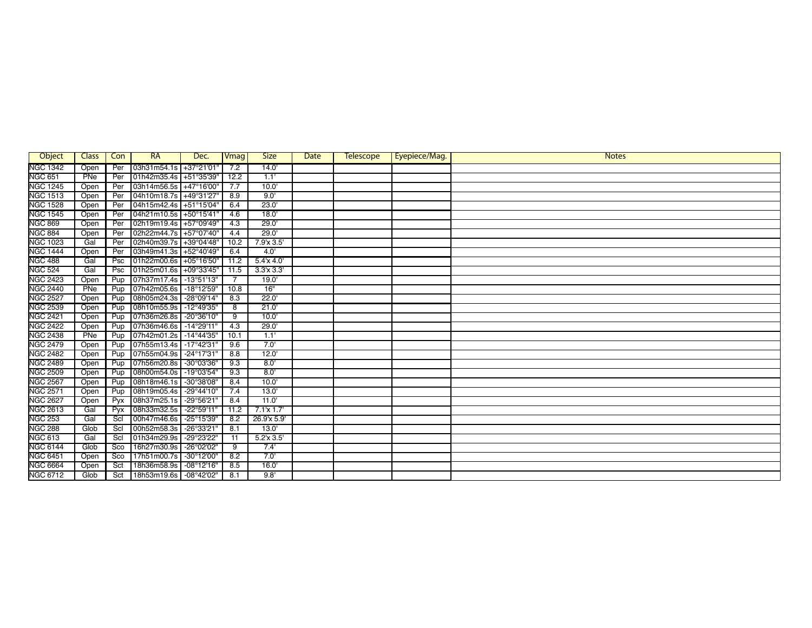| Object          | Class | Con    | <b>RA</b>              | Dec.                 | Vmag           | <b>Size</b>    | Date | <b>Telescope</b> | Eyepiece/Mag. | <b>Notes</b> |
|-----------------|-------|--------|------------------------|----------------------|----------------|----------------|------|------------------|---------------|--------------|
| <b>NGC 1342</b> | Open  | Per    | 03h31m54.1s +37°21'01  |                      | 7.2            | 14.0'          |      |                  |               |              |
| <b>NGC 651</b>  | PNe   | Per    | 01h42m35.4s +51°35'39' |                      | 12.2           | 1.1            |      |                  |               |              |
| <b>NGC 1245</b> | Open  | Per    | 03h14m56.5s +47°16'00' |                      | 7.7            | 10.0           |      |                  |               |              |
| <b>NGC 1513</b> | Open  | Per    | 04h10m18.7s            | +49°31'27'           | 8.9            | 9.0'           |      |                  |               |              |
| <b>NGC 1528</b> | Open  | Per    | 04h15m42.4s +51°15'04" |                      | 6.4            | 23.0'          |      |                  |               |              |
| <b>NGC 1545</b> | Open  | Per    | 04h21m10.5s +50°15'41' |                      | 4.6            | 18.0           |      |                  |               |              |
| <b>NGC 869</b>  | Open  | Per    | 02h19m19.4s +57°09'49' |                      | 4.3            | 29.0           |      |                  |               |              |
| <b>NGC 884</b>  | Open  | Per    | 02h22m44.7s            | +57°07'40'           | 4.4            | 29.0'          |      |                  |               |              |
| <b>NGC 1023</b> | Gal   | Per    | 02h40m39.7s            | +39°04'48"           | 10.2           | 7.9'x 3.5'     |      |                  |               |              |
| <b>NGC 1444</b> | Open  | Per    | 03h49m41.3s            | +52°40'49"           | 6.4            | 4.0            |      |                  |               |              |
| <b>NGC 488</b>  | Gal   | Psc    | 01h22m00.6s +05°16'50" |                      | 11.2           | $5.4$ x $4.0$  |      |                  |               |              |
| <b>NGC 524</b>  | Gal   | Psc    | 01h25m01.6s            | +09°33'45"           | 11.5           | 3.3'x 3.3'     |      |                  |               |              |
| <b>NGC 2423</b> | Open  | Pup    | 07h37m17.4s            | $-13°51'13"$         | $\overline{7}$ | 19.0'          |      |                  |               |              |
| <b>NGC 2440</b> | PNe   | Pup    | 07h42m05.6s            | $-18^{\circ}12'59''$ | 10.8           | 16"            |      |                  |               |              |
| <b>NGC 2527</b> | Open  | Pup    | 08h05m24.3s            | $-28^{\circ}09'14"$  | 8.3            | 22.0'          |      |                  |               |              |
| <b>NGC 2539</b> | Open  | Pup    | 08h10m55.9s            | $-12^{\circ}49'35''$ | 8              | 21.0'          |      |                  |               |              |
| <b>NGC 2421</b> | Open  | Pup    | 07h36m26.8s            | $-20^{\circ}36'10'$  | 9              | 10.0           |      |                  |               |              |
| <b>NGC 2422</b> | Open  | Pup    | 07h36m46.6s            | $-14^{\circ}29'11'$  | 4.3            | 29.0'          |      |                  |               |              |
| <b>NGC 2438</b> | PNe   | Pup    | 07h42m01.2s            | $-14^{\circ}44'35''$ | 10.1           | 1.1'           |      |                  |               |              |
| <b>NGC 2479</b> | Open  | Pup    | 07h55m13.4s            | $-17^{\circ}42'31'$  | 9.6            | 7.0'           |      |                  |               |              |
| <b>NGC 2482</b> | Open  | Pup    | 07h55m04.9s            | $-24^{\circ}17'31'$  | 8.8            | 12.0           |      |                  |               |              |
| <b>NGC 2489</b> | Open  | Pup    | 07h56m20.8s            | -30°03'36"           | 9.3            | 8.0'           |      |                  |               |              |
| <b>NGC 2509</b> | Open  | Pup    | 08h00m54.0s            | $-19^{\circ}03'54"$  | 9.3            | 8.0'           |      |                  |               |              |
| <b>NGC 2567</b> | Open  | Pup    | 08h18m46.1s            | $-30^{\circ}38'08''$ | 8.4            | 10.0           |      |                  |               |              |
| <b>NGC 2571</b> | Open  | Pup    | 08h19m05.4s            | -29°44'10"           | 7.4            | 13.0'          |      |                  |               |              |
| <b>NGC 2627</b> | Open  | Pyx    | 08h37m25.1s            | -29°56'21'           | 8.4            | 11.0           |      |                  |               |              |
| <b>NGC 2613</b> | Gal   | Pyx    | 08h33m32.5s            | $-22^{\circ}59'11'$  | 11.2           | $7.1$ x $1.7'$ |      |                  |               |              |
| <b>NGC 253</b>  | Gal   | $S$ cl | 00h47m46.6s            | -25°15'39"           | 8.2            | 26.9'x 5.9'    |      |                  |               |              |
| <b>NGC 288</b>  | Glob  | Scl    | 00h52m58.3s            | $-26°33'21'$         | 8.1            | 13.0'          |      |                  |               |              |
| <b>NGC 613</b>  | Gal   | Scl    | 01h34m29.9s            | -29°23'22"           | 11             | 5.2'x 3.5'     |      |                  |               |              |
| <b>NGC 6144</b> | Glob  | Sco    | 16h27m30.9s            | -26°02'02"           | 9              | 7.4'           |      |                  |               |              |
| <b>NGC 6451</b> | Open  | Sco    | 17h51m00.7s            | -30°12'00'           | 8.2            | 7.0'           |      |                  |               |              |
| <b>NGC 6664</b> | Open  | Sct    | 18h36m58.9s            | $-08^{\circ}12'16''$ | 8.5            | 16.0'          |      |                  |               |              |
| <b>NGC 6712</b> | Glob  | Sct    | 18h53m19.6s            | -08°42'02"           | 8.1            | 9.8'           |      |                  |               |              |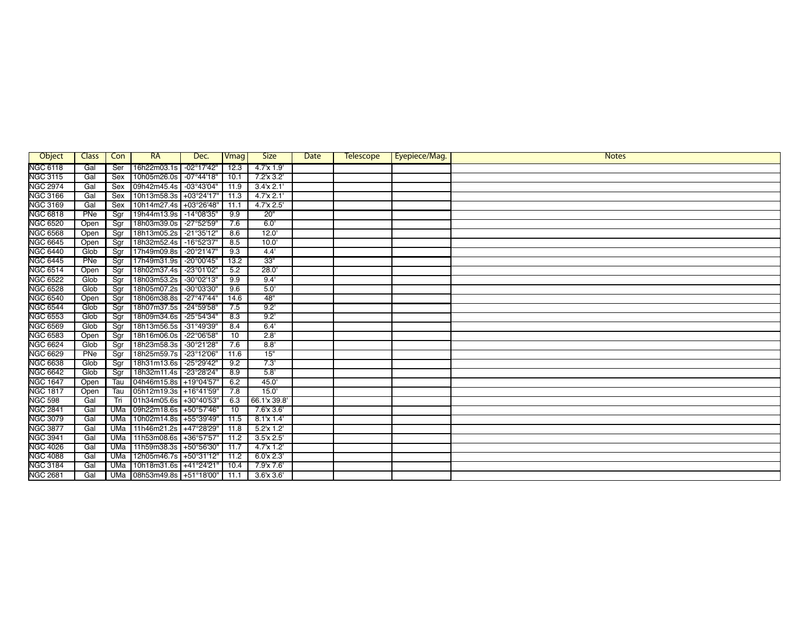| Object          | Class | Con        | <b>RA</b>              | Dec.                 | Vmag | <b>Size</b>      | Date | <b>Telescope</b> | Eyepiece/Mag. | <b>Notes</b> |
|-----------------|-------|------------|------------------------|----------------------|------|------------------|------|------------------|---------------|--------------|
| <b>NGC 6118</b> | Gal   | Ser        | 16h22m03.1s            | $-02^{\circ}17'42''$ | 12.3 | $4.7x$ 1.9       |      |                  |               |              |
| <b>NGC 3115</b> | Gal   | Sex        | 10h05m26.0s            | $-07^{\circ}44'18''$ | 10.1 | 7.2'x 3.2'       |      |                  |               |              |
| <b>NGC 2974</b> | Gal   | Sex        | 09h42m45.4s            | $-03^{\circ}43'04"$  | 11.9 | 3.4x 2.1'        |      |                  |               |              |
| <b>NGC 3166</b> | Gal   | Sex        | 10h13m58.3s            | $+03°24'17'$         | 11.3 | 4.7x 2.1'        |      |                  |               |              |
| <b>NGC 3169</b> | Gal   | Sex        | 10h14m27.4s            | +03°26'48"           | 11.1 | 4.7'x 2.5'       |      |                  |               |              |
| <b>NGC 6818</b> | PNe   | Sgr        | 19h44m13.9s            | $-14^{\circ}08'35''$ | 9.9  | 20"              |      |                  |               |              |
| <b>NGC 6520</b> | Open  | Sgr        | 18h03m39.0s            | -27°52'59"           | 7.6  | 6.0              |      |                  |               |              |
| <b>NGC 6568</b> | Open  | Sgr        | 18h13m05.2s            | -21°35'12"           | 8.6  | 12.0'            |      |                  |               |              |
| <b>NGC 6645</b> | Open  | Sqr        | 18h32m52.4s            | $-16°52'37"$         | 8.5  | 10.0'            |      |                  |               |              |
| <b>NGC 6440</b> | Glob  | Sqr        | 17h49m09.8s            | $-20^{\circ}21'47''$ | 9.3  | 4.4'             |      |                  |               |              |
| <b>NGC 6445</b> | PNe   | Sgr        | 17h49m31.9s            | -20°00'45"           | 13.2 | 33"              |      |                  |               |              |
| <b>NGC 6514</b> | Open  | Sgr        | 18h02m37.4s            | -23°01'02"           | 5.2  | 28.0'            |      |                  |               |              |
| <b>NGC 6522</b> | Glob  | Sqr        | 18h03m53.2s            | -30°02'13"           | 9.9  | 9.4'             |      |                  |               |              |
| <b>NGC 6528</b> | Glob  | Sgr        | 18h05m07.2s            | -30°03'30"           | 9.6  | 5.0              |      |                  |               |              |
| <b>NGC 6540</b> | Open  | Sgr        | 18h06m38.8s            | $-27^{\circ}47'44''$ | 14.6 | 48"              |      |                  |               |              |
| <b>NGC 6544</b> | Glob  | Sgr        | 18h07m37.5s            | -24°59'58"           | 7.5  | 9.2'             |      |                  |               |              |
| <b>NGC 6553</b> | Glob  | Sgr        | 18h09m34.6s            | $-25^{\circ}54'34''$ | 8.3  | 9.2'             |      |                  |               |              |
| <b>NGC 6569</b> | Glob  | Sqr        | 18h13m56.5s            | -31°49'39"           | 8.4  | 6.4'             |      |                  |               |              |
| <b>NGC 6583</b> | Open  | Sgr        | 18h16m06.0s            | -22°06'58"           | 10   | 2.8'             |      |                  |               |              |
| <b>NGC 6624</b> | Glob  | Sar        | 18h23m58.3s            | -30°21'28"           | 7.6  | 8.8'             |      |                  |               |              |
| <b>NGC 6629</b> | PNe   | Sgr        | 18h25m59.7s            | -23°12'06"           | 11.6 | 15"              |      |                  |               |              |
| <b>NGC 6638</b> | Glob  | Sgr        | 18h31m13.6s            | -25°29'42"           | 9.2  | 7.3'             |      |                  |               |              |
| <b>NGC 6642</b> | Glob  | Sgr        | 18h32m11.4s            | -23°28'24"           | 8.9  | 5.8'             |      |                  |               |              |
| <b>NGC 1647</b> | Open  | Tau        | 04h46m15.8s            | +19°04'57'           | 6.2  | 45.0'            |      |                  |               |              |
| <b>NGC 1817</b> | Open  | Tau        | 05h12m19.3s            | +16°41'59"           | 7.8  | 15.0'            |      |                  |               |              |
| <b>NGC 598</b>  | Gal   | Tri        | 01h34m05.6s            | +30°40'53'           | 6.3  | 66.1'x 39.8'     |      |                  |               |              |
| <b>NGC 2841</b> | Gal   | UMa        | 09h22m18.6s            | +50°57'46"           | 10   | 7.6'x 3.6'       |      |                  |               |              |
| <b>NGC 3079</b> | Gal   | <b>UMa</b> | 10h02m14.8s            | +55°39'49"           | 11.5 | $8.1 \times 1.4$ |      |                  |               |              |
| <b>NGC 3877</b> | Gal   | <b>UMa</b> | 11h46m21.2s            | +47°28'29"           | 11.8 | $5.2'x$ 1.2      |      |                  |               |              |
| <b>NGC 3941</b> | Gal   | UMa        | 11h53m08.6s            | +36°57'57'           | 11.2 | $3.5'$ x $2.5'$  |      |                  |               |              |
| <b>NGC 4026</b> | Gal   | <b>UMa</b> | 11h59m38.3s            | +50°56'30'           | 11.7 | $4.7'x$ 1.2'     |      |                  |               |              |
| <b>NGC 4088</b> | Gal   | <b>UMa</b> | 12h05m46.7s            | +50°31'12"           | 11.2 | 6.0x 2.3'        |      |                  |               |              |
| <b>NGC 3184</b> | Gal   | UMa        | 10h18m31.6s            | +41°24'21"           | 10.4 | 7.9'x 7.6'       |      |                  |               |              |
| <b>NGC 2681</b> | Gal   | <b>UMa</b> | 08h53m49.8s +51°18'00" |                      | 11.1 | $3.6$ x $3.6'$   |      |                  |               |              |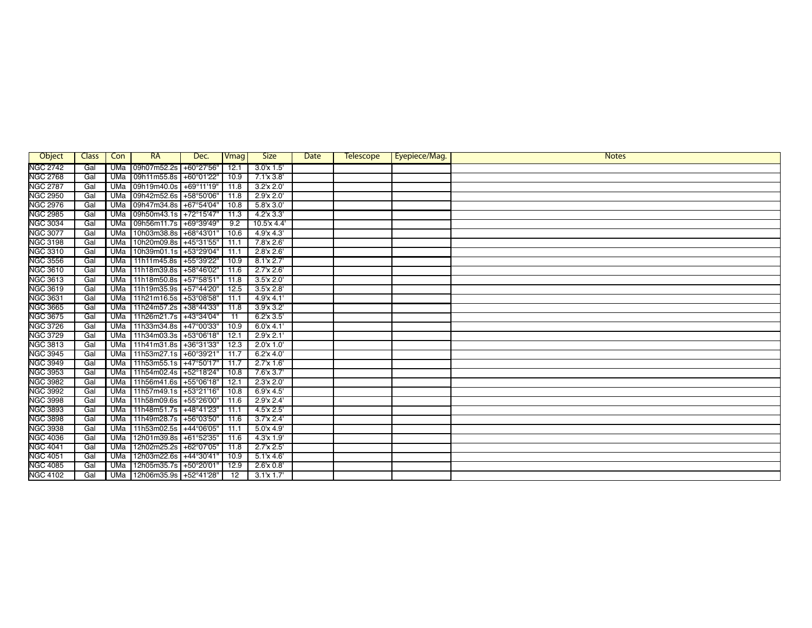| Object          | <b>Class</b> | Con        | RA                     | Dec.         | Vmag | <b>Size</b>          | Date | <b>Telescope</b> | Eyepiece/Mag. | <b>Notes</b> |
|-----------------|--------------|------------|------------------------|--------------|------|----------------------|------|------------------|---------------|--------------|
| <b>NGC 2742</b> | Gal          | <b>UMa</b> | 09h07m52.2s            | +60°27'56"   | 12.1 | 3.0x1.5'             |      |                  |               |              |
| <b>NGC 2768</b> | Gal          | UMa        | 09h11m55.8s            | +60°01'22"   | 10.9 | $7.1 \times 3.8$     |      |                  |               |              |
| <b>NGC 2787</b> | Gal          | UMa        | 09h19m40.0s            | +69°11'19"   | 11.8 | $3.2'$ x $2.0'$      |      |                  |               |              |
| <b>NGC 2950</b> | Gal          | <b>UMa</b> | 09h42m52.6s            | +58°50'06"   | 11.8 | 2.9x 2.0             |      |                  |               |              |
| <b>NGC 2976</b> | Gal          | <b>UMa</b> | 09h47m34.8s            | +67°54'04"   | 10.8 | $5.8$ $\times$ $3.0$ |      |                  |               |              |
| <b>NGC 2985</b> | Gal          | UMa        | 09h50m43.1s +72°15'47" |              | 11.3 | 4.2'x 3.3'           |      |                  |               |              |
| <b>NGC 3034</b> | Gal          | <b>UMa</b> | 09h56m11.7s +69°39'49" |              | 9.2  | 10.5'x 4.4'          |      |                  |               |              |
| <b>NGC 3077</b> | Gal          | UMa        | 10h03m38.8s            | +68°43'01'   | 10.6 | 4.9'x 4.3'           |      |                  |               |              |
| <b>NGC 3198</b> | Gal          | <b>UMa</b> | 10h20m09.8s            | +45°31'55"   | 11.1 | 7.8'x 2.6'           |      |                  |               |              |
| <b>NGC 3310</b> | Gal          | UMa        | 10h39m01.1s            | +53°29'04"   | 11.1 | 2.8'x 2.6'           |      |                  |               |              |
| <b>NGC 3556</b> | Gal          | <b>UMa</b> | 11h11m45.8s +55°39'22" |              | 10.9 | $8.1 \times 2.7$     |      |                  |               |              |
| <b>NGC 3610</b> | Gal          | UMa        | 11h18m39.8s            | +58°46'02"   | 11.6 | 2.7x 2.6'            |      |                  |               |              |
| <b>NGC 3613</b> | Gal          | UMa        | 11h18m50.8s            | +57°58'51"   | 11.8 | 3.5'x 2.0'           |      |                  |               |              |
| <b>NGC 3619</b> | Gal          | UMa        | 11h19m35.9s            | +57°44'20"   | 12.5 | 3.5'x 2.8'           |      |                  |               |              |
| <b>NGC 3631</b> | Gal          | <b>UMa</b> | 11h21m16.5s +53°08'58" |              | 11.1 | 4.9'x 4.1'           |      |                  |               |              |
| <b>NGC 3665</b> | Gal          | UMa        | 11h24m57.2s +38°44'33" |              | 11.8 | 3.9x3.2'             |      |                  |               |              |
| <b>NGC 3675</b> | Gal          | UMa        | 11h26m21.7s +43°34'04" |              | 11   | $6.2'$ x $3.5'$      |      |                  |               |              |
| <b>NGC 3726</b> | Gal          | <b>UMa</b> | 11h33m34.8s +47°00'33" |              | 10.9 | 6.0x 4.1'            |      |                  |               |              |
| <b>NGC 3729</b> | Gal          | <b>UMa</b> | 11h34m03.3s            | +53°06'18"   | 12.1 | 2.9'x 2.1'           |      |                  |               |              |
| <b>NGC 3813</b> | Gal          | UMa        | 11h41m31.8s            | $+36°31'33"$ | 12.3 | 2.0x1.0              |      |                  |               |              |
| <b>NGC 3945</b> | Gal          | UMa        | 11h53m27.1s +60°39'21' |              | 11.7 | $6.2$ x $4.0$        |      |                  |               |              |
| <b>NGC 3949</b> | Gal          | UMa        | 11h53m55.1s +47°50'17' |              | 11.7 | 2.7'x 1.6'           |      |                  |               |              |
| <b>NGC 3953</b> | Gal          | <b>UMa</b> | 11h54m02.4s            | +52°18'24"   | 10.8 | $7.6$ x $3.7'$       |      |                  |               |              |
| <b>NGC 3982</b> | Gal          | UMa        | 11h56m41.6s +55°06'18" |              | 12.1 | 2.3'x 2.0'           |      |                  |               |              |
| <b>NGC 3992</b> | Gal          | <b>UMa</b> | 11h57m49.1s +53°21'16" |              | 10.8 | 6.9x4.5'             |      |                  |               |              |
| <b>NGC 3998</b> | Gal          | UMa        | 11h58m09.6s +55°26'00" |              | 11.6 | 2.9'x 2.4'           |      |                  |               |              |
| <b>NGC 3893</b> | Gal          | UMa        | 11h48m51.7s +48°41'23" |              | 11.1 | 4.5'x 2.5'           |      |                  |               |              |
| <b>NGC 3898</b> | Gal          | <b>UMa</b> | 11h49m28.7s            | +56°03'50"   | 11.6 | $3.7x$ 2.4           |      |                  |               |              |
| <b>NGC 3938</b> | Gal          | <b>UMa</b> | 11h53m02.5s            | +44°06'05"   | 11.1 | 5.0x4.9'             |      |                  |               |              |
| <b>NGC 4036</b> | Gal          | UMa        | 12h01m39.8s            | +61°52'35"   | 11.6 | 4.3x1.9              |      |                  |               |              |
| <b>NGC 4041</b> | Gal          | <b>UMa</b> | 12h02m25.2s            | +62°07'05"   | 11.8 | 2.7'x 2.5'           |      |                  |               |              |
| <b>NGC 4051</b> | Gal          | UMa        | 12h03m22.6s            | +44°30'41"   | 10.9 | 5.1'x 4.6'           |      |                  |               |              |
| <b>NGC 4085</b> | Gal          | <b>UMa</b> | 12h05m35.7s +50°20'01" |              | 12.9 | $2.6$ x $0.8$        |      |                  |               |              |
| <b>NGC 4102</b> | Gal          | UMa        | 12h06m35.9s +52°41'28" |              | 12   | $3.1$ x $1.7'$       |      |                  |               |              |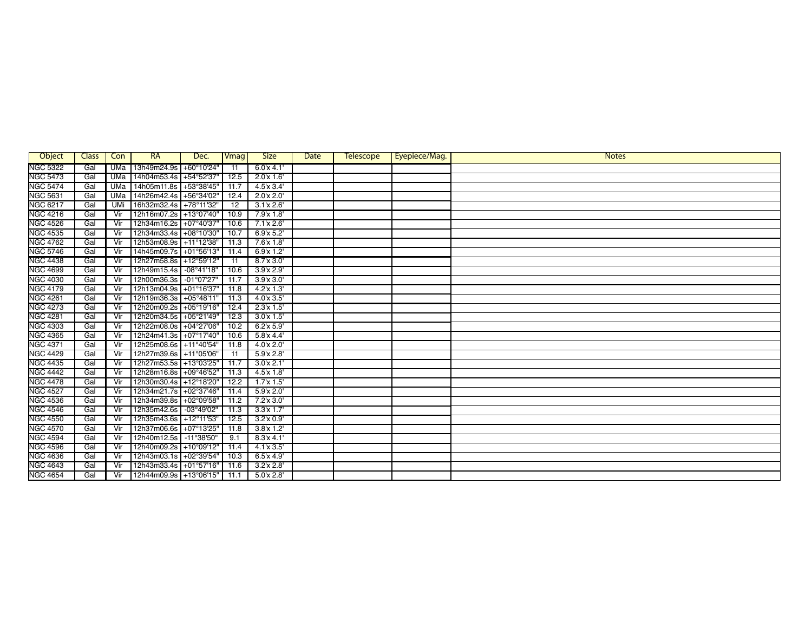| Object          | <b>Class</b> | Con        | <b>RA</b>              | Dec.                 | Vmag | <b>Size</b>    | Date | <b>Telescope</b> | Eyepiece/Mag. | <b>Notes</b> |
|-----------------|--------------|------------|------------------------|----------------------|------|----------------|------|------------------|---------------|--------------|
| <b>NGC 5322</b> | Gal          | UMa        | 13h49m24.9s            | +60°10'24"           | 11   | 6.0x4.1        |      |                  |               |              |
| <b>NGC 5473</b> | Gal          | <b>UMa</b> | 14h04m53.4s +54°52'37' |                      | 12.5 | 2.0x1.6'       |      |                  |               |              |
| <b>NGC 5474</b> | Gal          | <b>UMa</b> | 14h05m11.8s +53°38'45" |                      | 11.7 | 4.5'x 3.4'     |      |                  |               |              |
| <b>NGC 5631</b> | Gal          | <b>UMa</b> | 14h26m42.4s +56°34'02" |                      | 12.4 | 2.0x 2.0       |      |                  |               |              |
| <b>NGC 6217</b> | Gal          | <b>UMi</b> | 16h32m32.4s +78°11'32" |                      | 12   | 3.1'x 2.6'     |      |                  |               |              |
| <b>NGC 4216</b> | Gal          | Vir        | 12h16m07.2s +13°07'40" |                      | 10.9 | 7.9'x 1.8'     |      |                  |               |              |
| <b>NGC 4526</b> | Gal          | Vir        | 12h34m16.2s +07°40'37" |                      | 10.6 | $7.1$ x $2.6$  |      |                  |               |              |
| <b>NGC 4535</b> | Gal          | Vir        | 12h34m33.4s +08°10'30" |                      | 10.7 | 6.9'x 5.2'     |      |                  |               |              |
| <b>NGC 4762</b> | Gal          | Vir        | 12h53m08.9s +11°12'38" |                      | 11.3 | 7.6'x 1.8'     |      |                  |               |              |
| <b>NGC 5746</b> | Gal          | Vir        | 14h45m09.7s            | +01°56'13"           | 11.4 | $6.9'x$ 1.2'   |      |                  |               |              |
| <b>NGC 4438</b> | Gal          | Vir        | 12h27m58.8s +12°59'12" |                      | 11   | 8.7x3.0        |      |                  |               |              |
| <b>NGC 4699</b> | Gal          | Vir        | 12h49m15.4s            | $-08^{\circ}41'18''$ | 10.6 | 3.9x 2.9'      |      |                  |               |              |
| <b>NGC 4030</b> | Gal          | Vir        | 12h00m36.3s            | $-01^{\circ}07'27''$ | 11.7 | 3.9x3.0'       |      |                  |               |              |
| <b>NGC 4179</b> | Gal          | Vir        | 12h13m04.9s            | +01°16'37'           | 11.8 | 4.2x13'        |      |                  |               |              |
| <b>NGC 4261</b> | Gal          | Vir        | 12h19m36.3s +05°48'11' |                      | 11.3 | 4.0x3.5'       |      |                  |               |              |
| <b>NGC 4273</b> | Gal          | Vir        | 12h20m09.2s +05°19'16" |                      | 12.4 | 2.3'x 1.5'     |      |                  |               |              |
| <b>NGC 4281</b> | Gal          | Vir        | 12h20m34.5s +05°21'49" |                      | 12.3 | $3.0x$ 1.5'    |      |                  |               |              |
| <b>NGC 4303</b> | Gal          | Vir        | 12h22m08.0s            | +04°27'06"           | 10.2 | 6.2x 5.9'      |      |                  |               |              |
| <b>NGC 4365</b> | Gal          | Vir        | 12h24m41.3s            | +07°17'40"           | 10.6 | $5.8$ x 4.4    |      |                  |               |              |
| <b>NGC 4371</b> | Gal          | Vir        | 12h25m08.6s +11°40'54" |                      | 11.8 | $4.0x$ 2.0     |      |                  |               |              |
| <b>NGC 4429</b> | Gal          | Vir        | 12h27m39.6s +11°05'06" |                      | 11   | 5.9'x 2.8'     |      |                  |               |              |
| <b>NGC 4435</b> | Gal          | Vir        | 12h27m53.5s +13°03'25" |                      | 11.7 | 3.0x 2.1'      |      |                  |               |              |
| <b>NGC 4442</b> | Gal          | Vir        | 12h28m16.8s +09°46'52" |                      | 11.3 | $4.5'x$ $1.8'$ |      |                  |               |              |
| <b>NGC 4478</b> | Gal          | Vir        | 12h30m30.4s +12°18'20" |                      | 12.2 | 1.7x1.5'       |      |                  |               |              |
| <b>NGC 4527</b> | Gal          | Vir        | 12h34m21.7s +02°37'46" |                      | 11.4 | 5.9x 2.0       |      |                  |               |              |
| <b>NGC 4536</b> | Gal          | Vir        | 12h34m39.8s            | +02°09'58"           | 11.2 | 7.2'x 3.0'     |      |                  |               |              |
| <b>NGC 4546</b> | Gal          | Vir        | 12h35m42.6s            | -03°49'02"           | 11.3 | $3.3'x$ 1.7'   |      |                  |               |              |
| <b>NGC 4550</b> | Gal          | Vir        | 12h35m43.6s +12°11'53" |                      | 12.5 | 3.2x 0.9'      |      |                  |               |              |
| <b>NGC 4570</b> | Gal          | Vir        | 12h37m06.6s +07°13'25" |                      | 11.8 | $3.8'x$ 1.2    |      |                  |               |              |
| <b>NGC 4594</b> | Gal          | Vir        | 12h40m12.5s            | $-11^{\circ}38'50''$ | 9.1  | 8.3'x 4.1'     |      |                  |               |              |
| <b>NGC 4596</b> | Gal          | Vir        | 12h40m09.2s            | +10°09'12"           | 11.4 | $4.1$ x $3.5'$ |      |                  |               |              |
| <b>NGC 4636</b> | Gal          | Vir        | 12h43m03.1s            | +02°39'54"           | 10.3 | $6.5'x$ 4.9'   |      |                  |               |              |
| <b>NGC 4643</b> | Gal          | Vir        | 12h43m33.4s +01°57'16" |                      | 11.6 | 3.2'x 2.8'     |      |                  |               |              |
| <b>NGC 4654</b> | Gal          | Vir        | 12h44m09.9s +13°06'15" |                      | 11.1 | 5.0'x 2.8'     |      |                  |               |              |